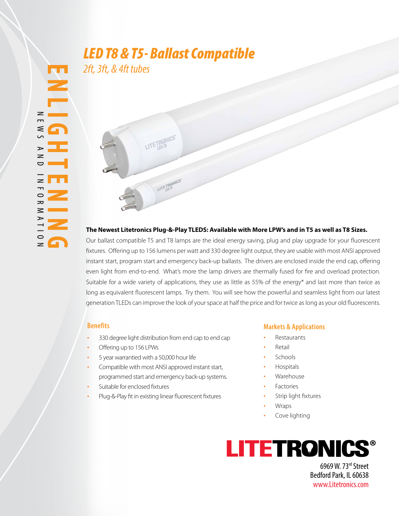# *LED T8 & T5- Ballast Compatible*

LITE TERRNICS'

LITETRONICS'

*2ft, 3ft, & 4ft tubes*

#### **The Newest Litetronics Plug-&-Play TLEDS: Available with More LPW's and in T5 as well as T8 Sizes.**

Our ballast compatible T5 and T8 lamps are the ideal energy saving, plug and play upgrade for your fluorescent fixtures. Offering up to 156 lumens per watt and 330 degree light output, they are usable with most ANSI approved instant start, program start and emergency back-up ballasts. The drivers are enclosed inside the end cap, offering even light from end-to-end. What's more the lamp drivers are thermally fused for fire and overload protection. Suitable for a wide variety of applications, they use as little as 55% of the energy\* and last more than twice as long as equivalent fluorescent lamps. Try them. You will see how the powerful and seamless light from our latest generation TLEDs can improve the look of your space at half the price and for twice as long as your old fluorescents.

#### **Benefits**

- 330 degree light distribution from end cap to end cap
- Offering up to 156 LPWs
- 5 year warrantied with a 50,000 hour life
- Compatible with most ANSI approved instant start, programmed start and emergency back-up systems.
- Suitable for enclosed fixtures
- Plug-&-Play fit in existing linear fluorescent fixtures

#### **Markets & Applications**

- **Restaurants**
- **Retail**
- Schools
- Hospitals
- **Warehouse**
- **Factories**
- Strip light fixtures
- Wraps
- Cove lighting



6969 W. 73rd Street Bedford Park, IL 60638 www.Litetronics.com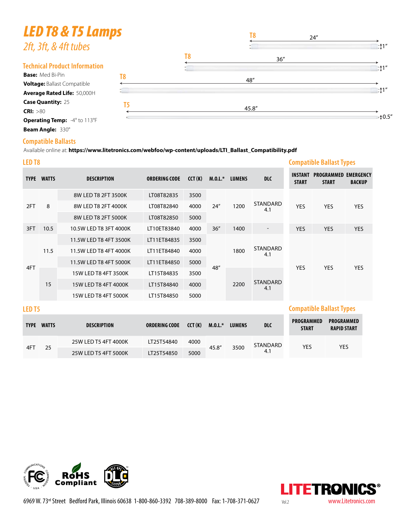# *LED T8 & T5 Lamps*

| LEV 10 & 13 LUINPS                   |    |    | T <sub>8</sub><br>24'' |                 |
|--------------------------------------|----|----|------------------------|-----------------|
| 2ft, 3ft, & 4ft tubes                |    |    |                        | $\pm 1$ "       |
|                                      |    | T8 | 36''                   |                 |
| <b>Technical Product Information</b> |    |    |                        | $\mathbb{L}$ 1" |
| <b>Base: Med Bi-Pin</b>              | T8 |    | 48"                    |                 |
| <b>Voltage: Ballast Compatible</b>   |    |    |                        |                 |
| Average Rated Life: 50,000H          |    |    |                        | $\pm 1$ "       |
| <b>Case Quantity: 25</b>             |    |    |                        |                 |
| CRI: >80                             |    |    | 45.8"                  |                 |
| <b>Operating Temp:</b> -4° to 113°F  |    |    |                        | ⊧‡0.5″          |
| Beam Angle: 330°                     |    |    |                        |                 |

#### **Compatible Ballasts**

Available online at: **https://www.litetronics.com/webfoo/wp-content/uploads/LTI\_Ballast\_Compatibility.pdf**

| LED <sub>T8</sub> |              |                        |                      | <b>Compatible Ballast Types</b> |      |                |                                                  |                                |                                   |                                   |
|-------------------|--------------|------------------------|----------------------|---------------------------------|------|----------------|--------------------------------------------------|--------------------------------|-----------------------------------|-----------------------------------|
| <b>TYPE</b>       | <b>WATTS</b> | <b>DESCRIPTION</b>     | <b>ORDERING CODE</b> | CCT(K)                          |      | M.O.L.* LUMENS | <b>DLC</b>                                       | <b>INSTANT</b><br><b>START</b> | <b>PROGRAMMED</b><br><b>START</b> | <b>EMERGENCY</b><br><b>BACKUP</b> |
|                   |              | 8W LED T8 2FT 3500K    | LT08T82835           | 3500                            |      | 1200           |                                                  |                                | <b>YES</b>                        | <b>YES</b>                        |
| 2FT               | 8            | 8W LED T8 2FT 4000K    | LT08T82840           | 4000                            | 24'' |                | <b>STANDARD</b><br>4.1                           | <b>YES</b>                     |                                   |                                   |
|                   |              | 8W LED T8 2FT 5000K    | LT08T82850           | 5000                            |      |                |                                                  |                                |                                   |                                   |
| 3FT               | 10.5         | 10.5W LED T8 3FT 4000K | LT10ET83840          | 4000                            | 36'' | 1400           | $\overline{\phantom{a}}$                         | <b>YES</b>                     | <b>YES</b>                        | <b>YES</b>                        |
|                   |              | 11.5W LED T8 4FT 3500K | LT11ET84835          | 3500                            |      | 1800<br>2200   | <b>STANDARD</b><br>4.1<br><b>STANDARD</b><br>4.1 |                                | <b>YES</b>                        | <b>YES</b>                        |
|                   | 11.5         | 11.5W LED T8 4FT 4000K | LT11ET84840          | 4000                            |      |                |                                                  |                                |                                   |                                   |
| 4FT               |              | 11.5W LED T8 4FT 5000K | LT11ET84850          | 5000                            | 48"  |                |                                                  | <b>YES</b>                     |                                   |                                   |
|                   |              | 15W LED T8 4FT 3500K   | LT15T84835           | 3500                            |      |                |                                                  |                                |                                   |                                   |
|                   | 15           | 15W LED T8 4FT 4000K   | LT15T84840           | 4000                            |      |                |                                                  |                                |                                   |                                   |
|                   |              | 15W LED T8 4FT 5000K   | LT15T84850           | 5000                            |      |                |                                                  |                                |                                   |                                   |
| LED <sub>T5</sub> |              |                        |                      |                                 |      |                |                                                  |                                | <b>Compatible Ballast Types</b>   |                                   |

| <b>TYPE</b> | <b>WATTS</b> | <b>DESCRIPTION</b>   | ORDERING CODE | CCT(K) | $M.0.L.*$ | <b>LUMENS</b> | <b>DLC</b>      | <b>PROGRAMMED</b><br><b>START</b> | <b>PROGRAMMED</b><br><b>RAPID START</b> |
|-------------|--------------|----------------------|---------------|--------|-----------|---------------|-----------------|-----------------------------------|-----------------------------------------|
|             |              | 25W LED T5 4FT 4000K | LT25T54840    | 4000   |           |               | <b>STANDARD</b> | YES                               | YES                                     |
| 4FT         | 25           | 25W LED T5 4FT 5000K | LT25T54850    | 5000   | 45.8"     | 3500          | 4.1             |                                   |                                         |